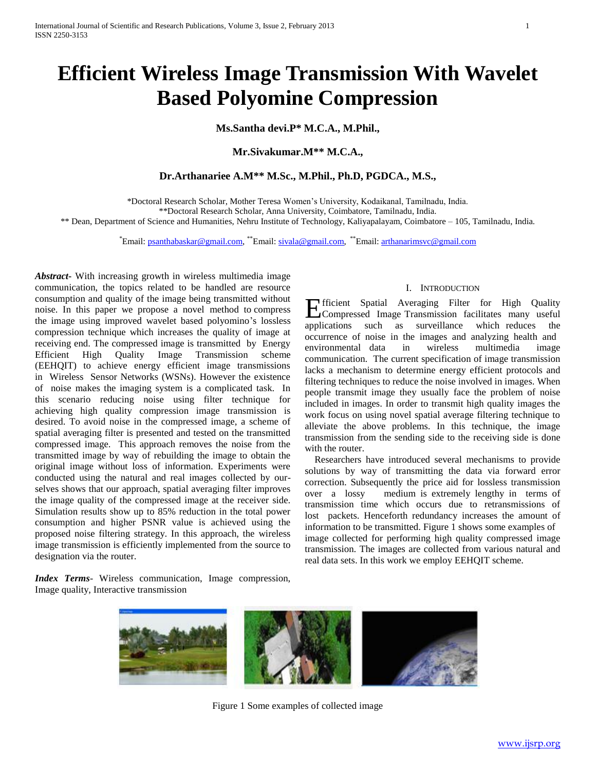# **Efficient Wireless Image Transmission With Wavelet Based Polyomine Compression**

**Ms.Santha devi.P\* M.C.A., M.Phil.,**

**Mr.Sivakumar.M\*\* M.C.A.,**

# **Dr.Arthanariee A.M\*\* M.Sc., M.Phil., Ph.D, PGDCA., M.S.,**

\*Doctoral Research Scholar, Mother Teresa Women's University, Kodaikanal, Tamilnadu, India.

\*\*Doctoral Research Scholar, Anna University, Coimbatore, Tamilnadu, India.

\*\* Dean, Department of Science and Humanities, Nehru Institute of Technology, Kaliyapalayam, Coimbatore – 105, Tamilnadu, India.

\*Email: [psanthabaskar@gmail.com,](mailto:psanthabaskar@gmail.com) \*\*Email: [sivala@gmail.com,](mailto:sivala@gmail.com) \*\*Email: [arthanarimsvc@gmail.com](mailto:arthanarimsvc@gmail.com)

*Abstract***-** With increasing growth in wireless multimedia image communication, the topics related to be handled are resource consumption and quality of the image being transmitted without noise. In this paper we propose a novel method to compress the image using improved wavelet based polyomino's lossless compression technique which increases the quality of image at receiving end. The compressed image is transmitted by Energy Efficient High Quality Image Transmission scheme (EEHQIT) to achieve energy efficient image transmissions in Wireless Sensor Networks (WSNs). However the existence of noise makes the imaging system is a complicated task. In this scenario reducing noise using filter technique for achieving high quality compression image transmission is desired. To avoid noise in the compressed image, a scheme of spatial averaging filter is presented and tested on the transmitted compressed image. This approach removes the noise from the transmitted image by way of rebuilding the image to obtain the original image without loss of information. Experiments were conducted using the natural and real images collected by ourselves shows that our approach, spatial averaging filter improves the image quality of the compressed image at the receiver side. Simulation results show up to 85% reduction in the total power consumption and higher PSNR value is achieved using the proposed noise filtering strategy. In this approach, the wireless image transmission is efficiently implemented from the source to designation via the router.

*Index Terms*- Wireless communication, Image compression, Image quality, Interactive transmission

## I. INTRODUCTION

fficient Spatial Averaging Filter for High Quality Efficient Spatial Averaging Filter for High Quality<br>Compressed Image Transmission facilitates many useful applications such as surveillance which reduces the occurrence of noise in the images and analyzing health and environmental data in wireless multimedia image communication. The current specification of image transmission lacks a mechanism to determine energy efficient protocols and filtering techniques to reduce the noise involved in images. When people transmit image they usually face the problem of noise included in images. In order to transmit high quality images the work focus on using novel spatial average filtering technique to alleviate the above problems. In this technique, the image transmission from the sending side to the receiving side is done with the router.

 Researchers have introduced several mechanisms to provide solutions by way of transmitting the data via forward error correction. Subsequently the price aid for lossless transmission over a lossy medium is extremely lengthy in terms of transmission time which occurs due to retransmissions of lost packets. Henceforth redundancy increases the amount of information to be transmitted. Figure 1 shows some examples of image collected for performing high quality compressed image transmission. The images are collected from various natural and real data sets. In this work we employ EEHQIT scheme.



Figure 1 Some examples of collected image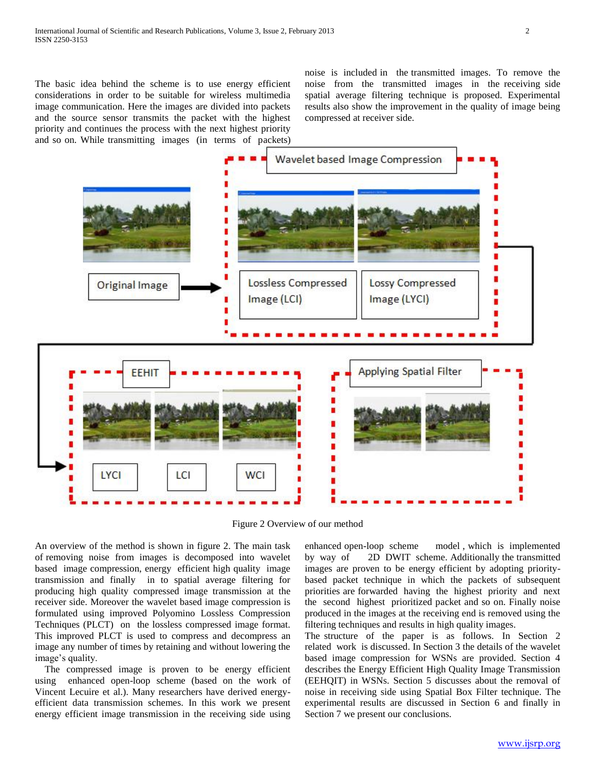The basic idea behind the scheme is to use energy efficient considerations in order to be suitable for wireless multimedia image communication. Here the images are divided into packets and the source sensor transmits the packet with the highest priority and continues the process with the next highest priority and so on. While transmitting images (in terms of packets) noise is included in the transmitted images. To remove the noise from the transmitted images in the receiving side spatial average filtering technique is proposed. Experimental results also show the improvement in the quality of image being compressed at receiver side.



Figure 2 Overview of our method

An overview of the method is shown in figure 2. The main task of removing noise from images is decomposed into wavelet based image compression, energy efficient high quality image transmission and finally in to spatial average filtering for producing high quality compressed image transmission at the receiver side. Moreover the wavelet based image compression is formulated using improved Polyomino Lossless Compression Techniques (PLCT) on the lossless compressed image format. This improved PLCT is used to compress and decompress an image any number of times by retaining and without lowering the image's quality.

 The compressed image is proven to be energy efficient using enhanced open-loop scheme (based on the work of Vincent Lecuire et al.). Many researchers have derived energyefficient data transmission schemes. In this work we present energy efficient image transmission in the receiving side using enhanced open-loop scheme model , which is implemented by way of 2D DWIT scheme. Additionally the transmitted images are proven to be energy efficient by adopting prioritybased packet technique in which the packets of subsequent priorities are forwarded having the highest priority and next the second highest prioritized packet and so on. Finally noise produced in the images at the receiving end is removed using the filtering techniques and results in high quality images.

The structure of the paper is as follows. In Section 2 related work is discussed. In Section 3 the details of the wavelet based image compression for WSNs are provided. Section 4 describes the Energy Efficient High Quality Image Transmission (EEHQIT) in WSNs. Section 5 discusses about the removal of noise in receiving side using Spatial Box Filter technique. The experimental results are discussed in Section 6 and finally in Section 7 we present our conclusions.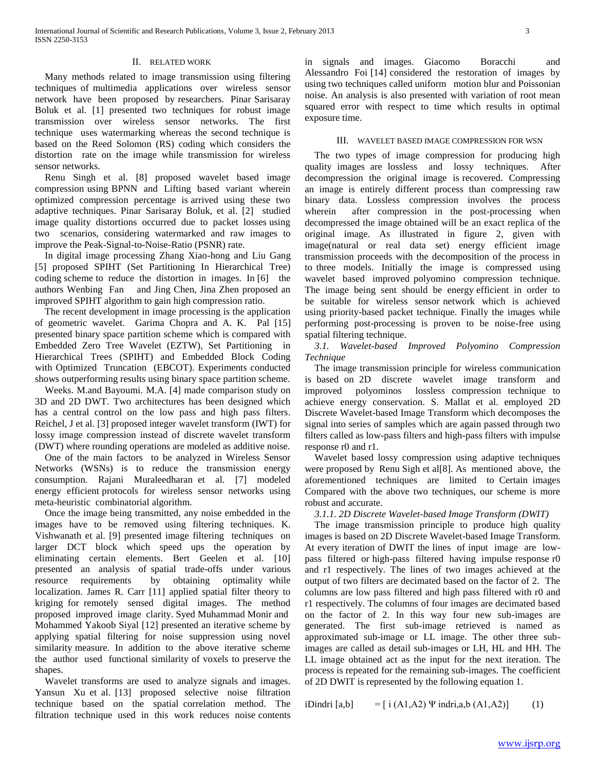### II. RELATED WORK

 Many methods related to image transmission using filtering techniques of multimedia applications over wireless sensor network have been proposed by researchers. Pinar Sarisaray Boluk et al. [1] presented two techniques for robust image transmission over wireless sensor networks. The first technique uses watermarking whereas the second technique is based on the Reed Solomon (RS) coding which considers the distortion rate on the image while transmission for wireless sensor networks.

 Renu Singh et al. [8] proposed wavelet based image compression using BPNN and Lifting based variant wherein optimized compression percentage is arrived using these two adaptive techniques. Pinar Sarisaray Boluk, et al. [2] studied image quality distortions occurred due to packet losses using two scenarios, considering watermarked and raw images to improve the Peak-Signal-to-Noise-Ratio (PSNR) rate.

 In digital image processing Zhang Xiao-hong and Liu Gang [5] proposed SPIHT (Set Partitioning In Hierarchical Tree) coding scheme to reduce the distortion in images. In [6] the authors Wenbing Fan and Jing Chen, Jina Zhen proposed an improved SPIHT algorithm to gain high compression ratio.

 The recent development in image processing is the application of geometric wavelet. Garima Chopra and A. K. Pal [15] presented binary space partition scheme which is compared with Embedded Zero Tree Wavelet (EZTW), Set Partitioning in Hierarchical Trees (SPIHT) and Embedded Block Coding with Optimized Truncation (EBCOT). Experiments conducted shows outperforming results using binary space partition scheme.

 Weeks. M.and Bayoumi. M.A. [4] made comparison study on 3D and 2D DWT. Two architectures has been designed which has a central control on the low pass and high pass filters. Reichel, J et al. [3] proposed integer wavelet transform (IWT) for lossy image compression instead of discrete wavelet transform (DWT) where rounding operations are modeled as additive noise.

 One of the main factors to be analyzed in Wireless Sensor Networks (WSNs) is to reduce the transmission energy consumption. Rajani Muraleedharan et al. [7] modeled energy efficient protocols for wireless sensor networks using meta-heuristic combinatorial algorithm.

 Once the image being transmitted, any noise embedded in the images have to be removed using filtering techniques. K. Vishwanath et al. [9] presented image filtering techniques on larger DCT block which speed ups the operation by eliminating certain elements. Bert Geelen et al. [10] presented an analysis of spatial trade-offs under various resource requirements by obtaining optimality while localization. James R. Carr [11] applied spatial filter theory to kriging for remotely sensed digital images. The method proposed improved image clarity. Syed Muhammad Monir and Mohammed Yakoob Siyal [12] presented an iterative scheme by applying spatial filtering for noise suppression using novel similarity measure. In addition to the above iterative scheme the author used functional similarity of voxels to preserve the shapes.

 Wavelet transforms are used to analyze signals and images. Yansun Xu et al. [13] proposed selective noise filtration technique based on the spatial correlation method. The filtration technique used in this work reduces noise contents

in signals and images. Giacomo Boracchi and Alessandro Foi [14] considered the restoration of images by using two techniques called uniform motion blur and Poissonian noise. An analysis is also presented with variation of root mean squared error with respect to time which results in optimal exposure time.

#### III. WAVELET BASED IMAGE COMPRESSION FOR WSN

 The two types of image compression for producing high quality images are lossless and lossy techniques. After decompression the original image is recovered. Compressing an image is entirely different process than compressing raw binary data. Lossless compression involves the process wherein after compression in the post-processing when decompressed the image obtained will be an exact replica of the original image. As illustrated in figure 2, given with image(natural or real data set) energy efficient image transmission proceeds with the decomposition of the process in to three models. Initially the image is compressed using wavelet based improved polyomino compression technique. The image being sent should be energy efficient in order to be suitable for wireless sensor network which is achieved using priority-based packet technique. Finally the images while performing post-processing is proven to be noise-free using spatial filtering technique.

 *3.1. Wavelet-based Improved Polyomino Compression Technique*

 The image transmission principle for wireless communication is based on 2D discrete wavelet image transform and improved polyominos lossless compression technique to achieve energy conservation. S. Mallat et al. employed 2D Discrete Wavelet-based Image Transform which decomposes the signal into series of samples which are again passed through two filters called as low-pass filters and high-pass filters with impulse response r0 and r1.

 Wavelet based lossy compression using adaptive techniques were proposed by Renu Sigh et al[8]. As mentioned above, the aforementioned techniques are limited to Certain images Compared with the above two techniques, our scheme is more robust and accurate.

 *3.1.1. 2D Discrete Wavelet-based Image Transform (DWIT)* 

 The image transmission principle to produce high quality images is based on 2D Discrete Wavelet-based Image Transform. At every iteration of DWIT the lines of input image are lowpass filtered or high-pass filtered having impulse response r0 and r1 respectively. The lines of two images achieved at the output of two filters are decimated based on the factor of 2. The columns are low pass filtered and high pass filtered with r0 and r1 respectively. The columns of four images are decimated based on the factor of 2. In this way four new sub-images are generated. The first sub-image retrieved is named as approximated sub-image or LL image. The other three subimages are called as detail sub-images or LH, HL and HH. The LL image obtained act as the input for the next iteration. The process is repeated for the remaining sub-images. The coefficient of 2D DWIT is represented by the following equation 1.

iDindri [a,b] =  $[i (A1, A2) \Psi \text{ indri}, a, b (A1, A2)]$  (1)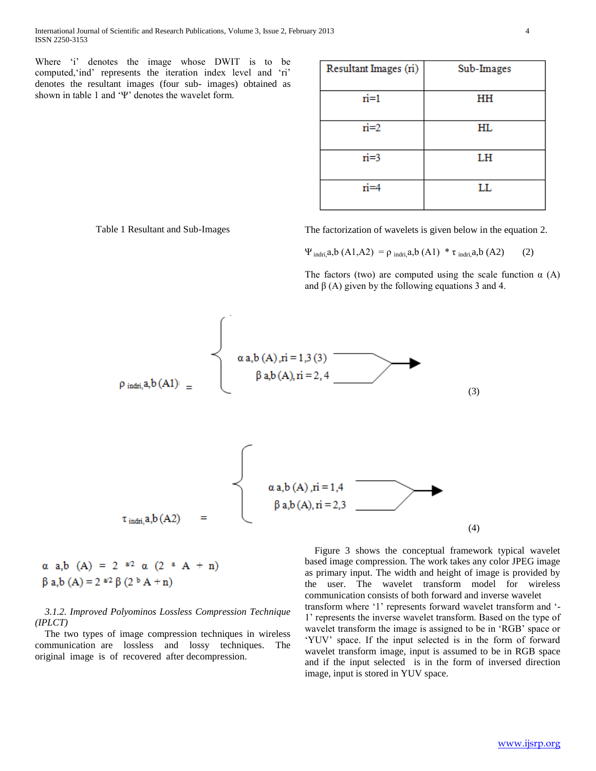Where 'i' denotes the image whose DWIT is to be computed,'ind' represents the iteration index level and 'ri' denotes the resultant images (four sub- images) obtained as shown in table 1 and 'Ψ' denotes the wavelet form.

| Resultant Images (ri) | Sub-Images |  |  |
|-----------------------|------------|--|--|
| $\dot{n}=1$           | HH         |  |  |
| $n = 2$               | HL         |  |  |
| ri=3                  | LH         |  |  |
| ri=4                  | LL         |  |  |

Table 1 Resultant and Sub-Images The factorization of wavelets is given below in the equation 2.

 $\Psi_{indri, a,b} (A1, A2) = \rho_{indri, a,b} (A1) * τ_{indri, a,b} (A2)$  (2)

The factors (two) are computed using the scale function  $\alpha$  (A) and  $\beta$  (A) given by the following equations 3 and 4.



$$
\begin{array}{ll}\n\alpha \ a,b \ (A) = 2 \ \stackrel{a/2}{\sim} \alpha \ (2 \ \stackrel{a}{\sim} \ A + n) \\
\beta \ a,b \ (A) = 2 \ \stackrel{a/2}{\sim} \beta \ (2 \ {}^b \ A + n)\n\end{array}
$$

# *3.1.2. Improved Polyominos Lossless Compression Technique (IPLCT)*

 The two types of image compression techniques in wireless communication are lossless and lossy techniques. The original image is of recovered after decompression.

 Figure 3 shows the conceptual framework typical wavelet based image compression. The work takes any color JPEG image as primary input. The width and height of image is provided by the user. The wavelet transform model for wireless communication consists of both forward and inverse wavelet transform where '1' represents forward wavelet transform and '- 1' represents the inverse wavelet transform. Based on the type of wavelet transform the image is assigned to be in 'RGB' space or 'YUV' space. If the input selected is in the form of forward wavelet transform image, input is assumed to be in RGB space and if the input selected is in the form of inversed direction image, input is stored in YUV space.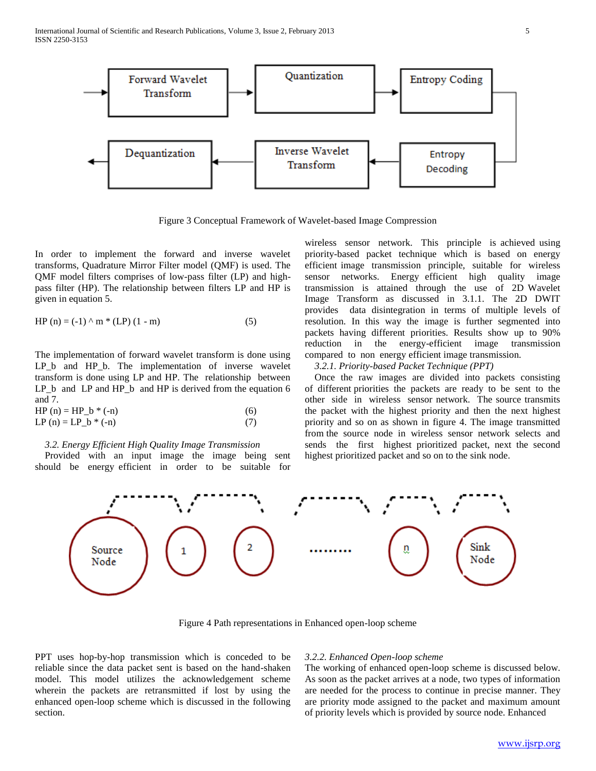International Journal of Scientific and Research Publications, Volume 3, Issue 2, February 2013 5 ISSN 2250-3153



Figure 3 Conceptual Framework of Wavelet-based Image Compression

In order to implement the forward and inverse wavelet transforms, Quadrature Mirror Filter model (QMF) is used. The QMF model filters comprises of low-pass filter (LP) and highpass filter (HP). The relationship between filters LP and HP is given in equation 5.

HP (n) = (-1) 
$$
\wedge
$$
 m \* (LP) (1 - m) (5)

The implementation of forward wavelet transform is done using LP\_b and HP\_b. The implementation of inverse wavelet transform is done using LP and HP. The relationship between LP\_b and LP and HP\_b and HP is derived from the equation 6 and 7.

HP (n) = HP\_b \* (-n) (6) LP (n) = LP\_b \* (-n) (7)

#### *3.2. Energy Efficient High Quality Image Transmission*

 Provided with an input image the image being sent should be energy efficient in order to be suitable for wireless sensor network. This principle is achieved using priority-based packet technique which is based on energy efficient image transmission principle, suitable for wireless sensor networks. Energy efficient high quality image transmission is attained through the use of 2D Wavelet Image Transform as discussed in 3.1.1. The 2D DWIT provides data disintegration in terms of multiple levels of resolution. In this way the image is further segmented into packets having different priorities. Results show up to 90% reduction in the energy-efficient image transmission compared to non energy efficient image transmission.

 *3.2.1. Priority-based Packet Technique (PPT)*

 Once the raw images are divided into packets consisting of different priorities the packets are ready to be sent to the other side in wireless sensor network. The source transmits the packet with the highest priority and then the next highest priority and so on as shown in figure 4. The image transmitted from the source node in wireless sensor network selects and sends the first highest prioritized packet, next the second highest prioritized packet and so on to the sink node.



Figure 4 Path representations in Enhanced open-loop scheme

PPT uses hop-by-hop transmission which is conceded to be reliable since the data packet sent is based on the hand-shaken model. This model utilizes the acknowledgement scheme wherein the packets are retransmitted if lost by using the enhanced open-loop scheme which is discussed in the following section.

#### *3.2.2. Enhanced Open-loop scheme*

The working of enhanced open-loop scheme is discussed below. As soon as the packet arrives at a node, two types of information are needed for the process to continue in precise manner. They are priority mode assigned to the packet and maximum amount of priority levels which is provided by source node. Enhanced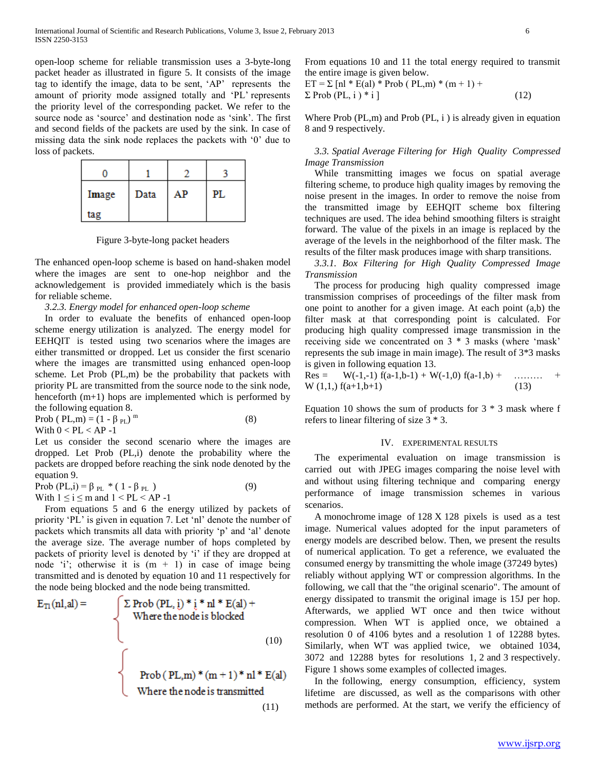open-loop scheme for reliable transmission uses a 3-byte-long packet header as illustrated in figure 5. It consists of the image tag to identify the image, data to be sent, 'AP' represents the amount of priority mode assigned totally and 'PL' represents the priority level of the corresponding packet. We refer to the source node as 'source' and destination node as 'sink'. The first and second fields of the packets are used by the sink. In case of missing data the sink node replaces the packets with '0' due to loss of packets.

| Image | Data | AР | PL |
|-------|------|----|----|
| tag   |      |    |    |

Figure 3-byte-long packet headers

The enhanced open-loop scheme is based on hand-shaken model where the images are sent to one-hop neighbor and the acknowledgement is provided immediately which is the basis for reliable scheme.

*3.2.3. Energy model for enhanced open-loop scheme* 

 In order to evaluate the benefits of enhanced open-loop scheme energy utilization is analyzed. The energy model for EEHQIT is tested using two scenarios where the images are either transmitted or dropped. Let us consider the first scenario where the images are transmitted using enhanced open-loop scheme. Let Prob (PL,m) be the probability that packets with priority PL are transmitted from the source node to the sink node, henceforth  $(m+1)$  hops are implemented which is performed by the following equation 8.

Prob (  $PL,m$ ) = (1 -  $\beta$  <sub>PL</sub>)<sup>m</sup> (8) With  $0 < PL < AP -1$ 

Let us consider the second scenario where the images are dropped. Let Prob (PL,i) denote the probability where the packets are dropped before reaching the sink node denoted by the equation 9.

Prob (PL,i) =  $\beta_{PL}$  \* (1 -  $\beta_{PL}$ ) (9) With  $1 \le i \le m$  and  $1 < PL < AP -1$ 

 From equations 5 and 6 the energy utilized by packets of priority 'PL' is given in equation 7. Let 'nl' denote the number of packets which transmits all data with priority 'p' and 'al' denote the average size. The average number of hops completed by packets of priority level is denoted by 'i' if they are dropped at node 'i'; otherwise it is  $(m + 1)$  in case of image being transmitted and is denoted by equation 10 and 11 respectively for the node being blocked and the node being transmitted.

$$
E_{\text{TI}}(nl, al) = \int \sum \text{Prob (PL, i) * i * nl * E(al) +}
$$
  
Where the node is blocked  
(10)  
Prob (PL,m) \* (m + 1) \* nl \* E(al)  
Where the node is transmitted  
(11)

From equations 10 and 11 the total energy required to transmit the entire image is given below.

$$
ET = \sum [nl * E(al) * Prob (PL,m) * (m + 1) +\nΣ Prob (PL, i) * i ]
$$
\n(12)

Where Prob  $(PL,m)$  and Prob  $(PL, i)$  is already given in equation 8 and 9 respectively.

 *3.3. Spatial Average Filtering for High Quality Compressed Image Transmission* 

 While transmitting images we focus on spatial average filtering scheme, to produce high quality images by removing the noise present in the images. In order to remove the noise from the transmitted image by EEHQIT scheme box filtering techniques are used. The idea behind smoothing filters is straight forward. The value of the pixels in an image is replaced by the average of the levels in the neighborhood of the filter mask. The results of the filter mask produces image with sharp transitions.

 *3.3.1. Box Filtering for High Quality Compressed Image Transmission* 

 The process for producing high quality compressed image transmission comprises of proceedings of the filter mask from one point to another for a given image. At each point (a,b) the filter mask at that corresponding point is calculated. For producing high quality compressed image transmission in the receiving side we concentrated on 3 \* 3 masks (where 'mask' represents the sub image in main image). The result of 3\*3 masks is given in following equation 13.

Res =  $W(-1,-1) f(a-1,b-1) + W(-1,0) f(a-1,b) + \dots +$  $W(1,1, f(a+1,b+1))$  (13)

Equation 10 shows the sum of products for  $3 * 3$  mask where f refers to linear filtering of size 3 \* 3.

#### IV. EXPERIMENTAL RESULTS

The experimental evaluation on image transmission is carried out with JPEG images comparing the noise level with and without using filtering technique and comparing energy performance of image transmission schemes in various scenarios.

A monochrome image of 128 X 128 pixels is used as a test image. Numerical values adopted for the input parameters of energy models are described below. Then, we present the results of numerical application. To get a reference, we evaluated the consumed energy by transmitting the whole image (37249 bytes) reliably without applying WT or compression algorithms. In the following, we call that the "the original scenario". The amount of energy dissipated to transmit the original image is 15J per hop. Afterwards, we applied WT once and then twice without compression. When WT is applied once, we obtained a resolution 0 of 4106 bytes and a resolution 1 of 12288 bytes. Similarly, when WT was applied twice, we obtained 1034, 3072 and 12288 bytes for resolutions 1, 2 and 3 respectively. Figure 1 shows some examples of collected images.

In the following, energy consumption, efficiency, system lifetime are discussed, as well as the comparisons with other methods are performed. At the start, we verify the efficiency of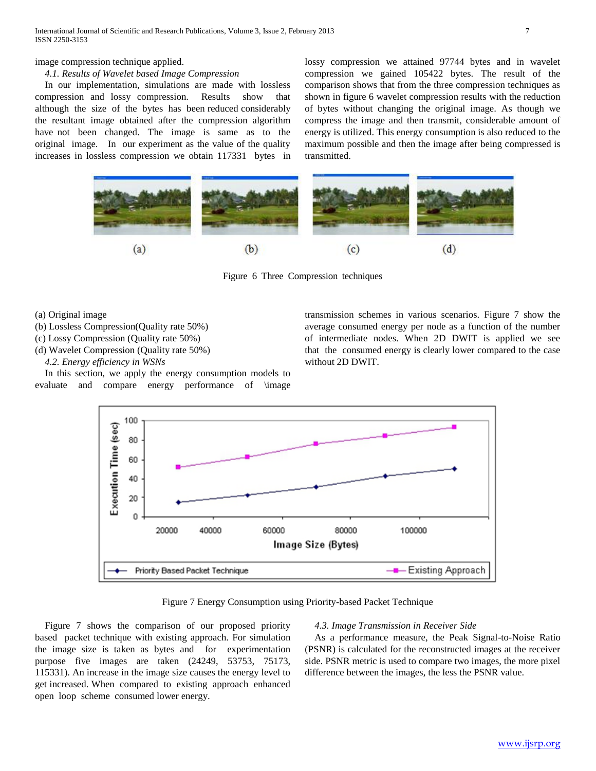# image compression technique applied.

# *4.1. Results of Wavelet based Image Compression*

In our implementation, simulations are made with lossless compression and lossy compression. Results show that although the size of the bytes has been reduced considerably the resultant image obtained after the compression algorithm have not been changed. The image is same as to the original image. In our experiment as the value of the quality increases in lossless compression we obtain 117331 bytes in lossy compression we attained 97744 bytes and in wavelet compression we gained 105422 bytes. The result of the comparison shows that from the three compression techniques as shown in figure 6 wavelet compression results with the reduction of bytes without changing the original image. As though we compress the image and then transmit, considerable amount of energy is utilized. This energy consumption is also reduced to the maximum possible and then the image after being compressed is transmitted.



Figure 6 Three Compression techniques

- (a) Original image
- (b) Lossless Compression(Quality rate 50%)
- (c) Lossy Compression (Quality rate 50%)
- (d) Wavelet Compression (Quality rate 50%)
	- *4.2. Energy efficiency in WSNs*

In this section, we apply the energy consumption models to evaluate and compare energy performance of \image transmission schemes in various scenarios. Figure 7 show the average consumed energy per node as a function of the number of intermediate nodes. When 2D DWIT is applied we see that the consumed energy is clearly lower compared to the case without 2D DWIT.



Figure 7 Energy Consumption using Priority-based Packet Technique

Figure 7 shows the comparison of our proposed priority based packet technique with existing approach. For simulation the image size is taken as bytes and for experimentation purpose five images are taken (24249, 53753, 75173, 115331). An increase in the image size causes the energy level to get increased. When compared to existing approach enhanced open loop scheme consumed lower energy.

#### *4.3. Image Transmission in Receiver Side*

As a performance measure, the Peak Signal-to-Noise Ratio (PSNR) is calculated for the reconstructed images at the receiver side. PSNR metric is used to compare two images, the more pixel difference between the images, the less the PSNR value.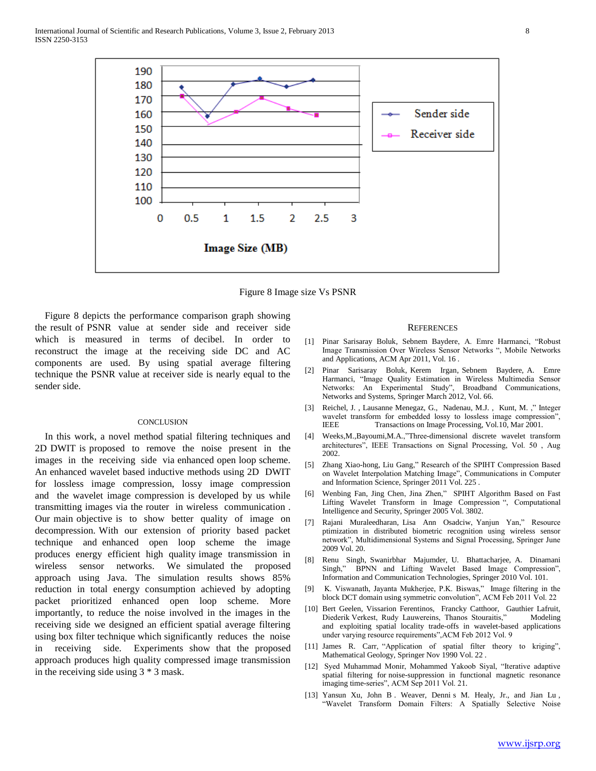

Figure 8 Image size Vs PSNR

Figure 8 depicts the performance comparison graph showing the result of PSNR value at sender side and receiver side which is measured in terms of decibel. In order to reconstruct the image at the receiving side DC and AC components are used. By using spatial average filtering technique the PSNR value at receiver side is nearly equal to the sender side.

## **CONCLUSION**

In this work, a novel method spatial filtering techniques and 2D DWIT is proposed to remove the noise present in the images in the receiving side via enhanced open loop scheme. An enhanced wavelet based inductive methods using 2D DWIT for lossless image compression, lossy image compression and the wavelet image compression is developed by us while transmitting images via the router in wireless communication . Our main objective is to show better quality of image on decompression. With our extension of priority based packet technique and enhanced open loop scheme the image produces energy efficient high quality image transmission in wireless sensor networks. We simulated the proposed approach using Java. The simulation results shows 85% reduction in total energy consumption achieved by adopting packet prioritized enhanced open loop scheme. More importantly, to reduce the noise involved in the images in the receiving side we designed an efficient spatial average filtering using box filter technique which significantly reduces the noise in receiving side. Experiments show that the proposed approach produces high quality compressed image transmission in the receiving side using 3 \* 3 mask.

#### **REFERENCES**

- [1] [Pinar Sarisaray Boluk,](http://dl.acm.org/author_page.cfm?id=81484658337&coll=DL&dl=ACM&trk=0&cfid=81700110&cftoken=10785127) [Sebnem Baydere,](http://dl.acm.org/author_page.cfm?id=81440598821&coll=DL&dl=ACM&trk=0&cfid=81700110&cftoken=10785127) A. Emre Harmanci, "Robust Image Transmission Over Wireless Sensor Networks ", Mobile Networks and Applications, ACM Apr 2011, Vol. 16 .
- [2] [Pinar Sarisaray Boluk,](http://rd.springer.com/search?facet-author=%22Pinar+Sarisaray+Boluk%22) [Kerem Irgan,](http://rd.springer.com/search?facet-author=%22Kerem+Irgan%22) Sebnem Baydere, A. Emre [Harmanci,](http://rd.springer.com/search?facet-author=%22A.+Emre+Harmanci%22) "Image Quality Estimation in Wireless Multimedia Sensor Networks: An Experimental Study", Broadband Communications, Networks and Systems, Springer March 2012, Vol. 66.
- [3] [Reichel, J.](http://ieeexplore.ieee.org/search/searchresult.jsp?searchWithin=p_Authors:.QT.Reichel,%20J..QT.&newsearch=partialPref) , Lausanne [Menegaz, G., Nadenau, M.J.](http://ieeexplore.ieee.org/search/searchresult.jsp?searchWithin=p_Authors:.QT.Menegaz,%20G..QT.&newsearch=partialPref) , Kunt, M. ," Integer wavelet transform for embedded lossy to lossless image compression", IEEE Transactions on Image Processing, Vol.10, Mar 2001.
- [4] [Weeks,M.](http://ieeexplore.ieee.org/search/searchresult.jsp?searchWithin=p_Authors:.QT.Weeks,%20M..QT.&newsearch=partialPref)[,Bayoumi,M.A.,"](http://ieeexplore.ieee.org/search/searchresult.jsp?searchWithin=p_Authors:.QT.Bayoumi,%20M.A..QT.&newsearch=partialPref)Three-dimensional discrete wavelet transform architectures", IEEE Transactions on Signal Processing, Vol. 50 , Aug 2002.
- [5] [Zhang Xiao-hong,](http://rd.springer.com/search?facet-author=%22Zhang+Xiao-hong%22) [Liu Gang,"](http://rd.springer.com/search?facet-author=%22Liu+Gang%22) Research of the SPIHT Compression Based on Wavelet Interpolation Matching Image", Communications in Computer and Information Science, Springer 2011 Vol. 225 .
- [6] [Wenbing Fan,](http://rd.springer.com/search?facet-author=%22Wenbing+Fan%22) [Jing Chen,](http://rd.springer.com/search?facet-author=%22Jing+Chen%22) Jina Zhen," SPIHT Algorithm Based on Fast Lifting Wavelet Transform in Image Compression ", Computational Intelligence and Security, Springer 2005 Vol. 3802.
- [7] [Rajani Muraleedharan,](http://rd.springer.com/search?facet-author=%22Rajani+Muraleedharan%22) [Lisa Ann Osadciw,](http://rd.springer.com/search?facet-author=%22Lisa+Ann+Osadciw%22) Yanjun Yan," Resource ptimization in distributed biometric recognition using wireless sensor network", Multidimensional Systems and Signal Processing, Springer June 2009 Vol. 20.
- [8] [Renu Singh,](http://rd.springer.com/search?facet-author=%22Renu+Singh%22) [Swanirbhar Majumder,](http://rd.springer.com/search?facet-author=%22Swanirbhar+Majumder%22) U. Bhattacharjee, A. Dinamani [Singh,](http://rd.springer.com/search?facet-author=%22A.+Dinamani+Singh%22)" BPNN and Lifting Wavelet Based Image Compression", Information and Communication Technologies, Springer 2010 Vol. 101.
- [9] K. Viswanath, Jayanta Mukherjee, P.K. Biswas," Image filtering in the block DCT domain using symmetric convolution", ACM Feb 2011 Vol. 22
- [10] Bert Geelen, Vissarion Ferentinos, Francky Catthoor, Gauthier Lafruit, Diederik Verkest, Rudy Lauwereins, Thanos Stouraitis," Modeling and exploiting spatial locality trade-offs in wavelet-based applications under varying resource requirements",ACM Feb 2012 Vol. 9
- [11] [James R. Carr,](http://rd.springer.com/search?facet-author=%22James+R.+Carr%22) "Application of spatial filter theory to kriging", Mathematical Geology, Springer Nov 1990 Vol. 22 .
- [12] Syed Muhammad Monir, Mohammed Yakoob Siyal, "Iterative adaptive spatial filtering for noise-suppression in functional magnetic resonance imaging time-series", ACM Sep 2011 Vol. 21.
- [13] Yansun Xu, John B . Weaver, Denni s M. Healy, Jr., and Jian Lu , "Wavelet Transform Domain Filters: A Spatially Selective Noise